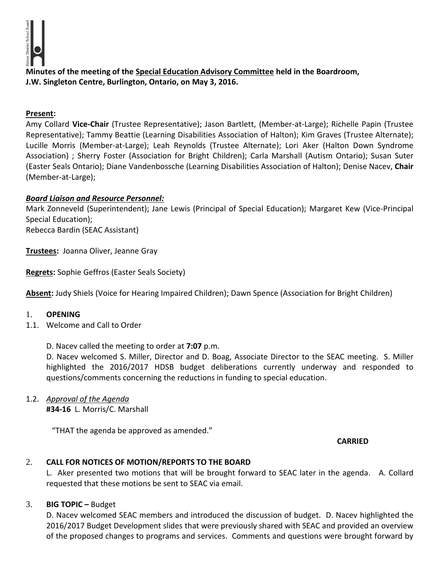**Minutes of the meeting of the Special Education Advisory Committee held in the Boardroom, J.W. Singleton Centre, Burlington, Ontario, on May 3, 2016.**

## **Present:**

Amy Collard **Vice-Chair** (Trustee Representative); Jason Bartlett, (Member-at-Large); Richelle Papin (Trustee Representative); Tammy Beattie (Learning Disabilities Association of Halton); Kim Graves (Trustee Alternate); Lucille Morris (Member-at-Large); Leah Reynolds (Trustee Alternate); Lori Aker (Halton Down Syndrome Association) ; Sherry Foster (Association for Bright Children); Carla Marshall (Autism Ontario); Susan Suter (Easter Seals Ontario); Diane Vandenbossche (Learning Disabilities Association of Halton); Denise Nacev, **Chair**  (Member-at-Large);

# *Board Liaison and Resource Personnel:*

Mark Zonneveld (Superintendent); Jane Lewis (Principal of Special Education); Margaret Kew (Vice-Principal Special Education); Rebecca Bardin (SEAC Assistant)

**Trustees:** Joanna Oliver, Jeanne Gray

**Regrets:** Sophie Geffros (Easter Seals Society)

**Absent:** Judy Shiels (Voice for Hearing Impaired Children); Dawn Spence (Association for Bright Children)

## 1. **OPENING**

1.1. Welcome and Call to Order

D. Nacev called the meeting to order at **7:07** p.m.

D. Nacev welcomed S. Miller, Director and D. Boag, Associate Director to the SEAC meeting. S. Miller highlighted the 2016/2017 HDSB budget deliberations currently underway and responded to questions/comments concerning the reductions in funding to special education.

1.2. *Approval of the Agenda* **#34-16** L. Morris/C. Marshall

"THAT the agenda be approved as amended."

**CARRIED**

# 2. **CALL FOR NOTICES OF MOTION/REPORTS TO THE BOARD**

L. Aker presented two motions that will be brought forward to SEAC later in the agenda. A. Collard requested that these motions be sent to SEAC via email.

## 3. **BIG TOPIC –** Budget

D. Nacev welcomed SEAC members and introduced the discussion of budget. D. Nacev highlighted the 2016/2017 Budget Development slides that were previously shared with SEAC and provided an overview of the proposed changes to programs and services. Comments and questions were brought forward by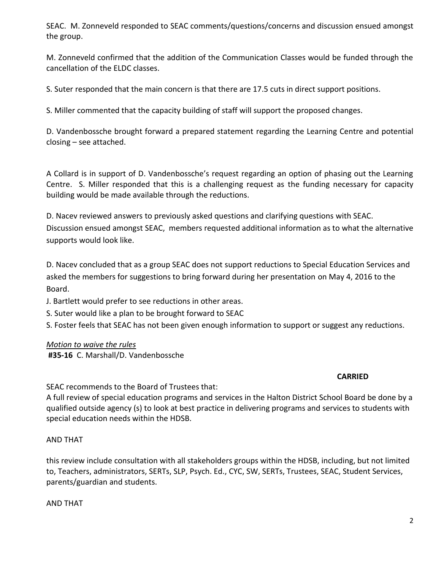SEAC. M. Zonneveld responded to SEAC comments/questions/concerns and discussion ensued amongst the group.

M. Zonneveld confirmed that the addition of the Communication Classes would be funded through the cancellation of the ELDC classes.

S. Suter responded that the main concern is that there are 17.5 cuts in direct support positions.

S. Miller commented that the capacity building of staff will support the proposed changes.

D. Vandenbossche brought forward a prepared statement regarding the Learning Centre and potential closing – see attached.

A Collard is in support of D. Vandenbossche's request regarding an option of phasing out the Learning Centre. S. Miller responded that this is a challenging request as the funding necessary for capacity building would be made available through the reductions.

D. Nacev reviewed answers to previously asked questions and clarifying questions with SEAC. Discussion ensued amongst SEAC, members requested additional information as to what the alternative supports would look like.

D. Nacev concluded that as a group SEAC does not support reductions to Special Education Services and asked the members for suggestions to bring forward during her presentation on May 4, 2016 to the Board.

J. Bartlett would prefer to see reductions in other areas.

S. Suter would like a plan to be brought forward to SEAC

S. Foster feels that SEAC has not been given enough information to support or suggest any reductions.

## *Motion to waive the rules*

 **#35-16** C. Marshall/D. Vandenbossche

## **CARRIED**

SEAC recommends to the Board of Trustees that:

A full review of special education programs and services in the Halton District School Board be done by a qualified outside agency (s) to look at best practice in delivering programs and services to students with special education needs within the HDSB.

## AND THAT

this review include consultation with all stakeholders groups within the HDSB, including, but not limited to, Teachers, administrators, SERTs, SLP, Psych. Ed., CYC, SW, SERTs, Trustees, SEAC, Student Services, parents/guardian and students.

AND THAT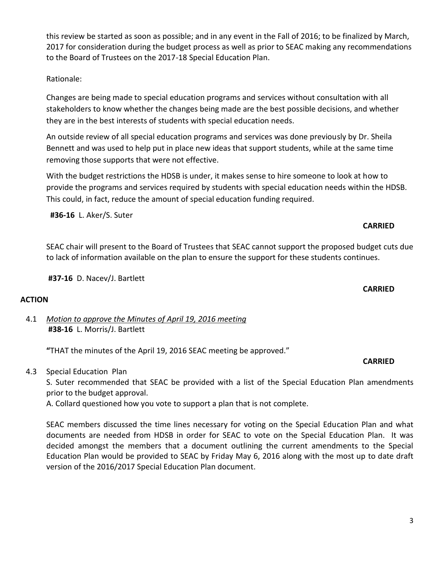this review be started as soon as possible; and in any event in the Fall of 2016; to be finalized by March, 2017 for consideration during the budget process as well as prior to SEAC making any recommendations to the Board of Trustees on the 2017-18 Special Education Plan.

Rationale:

Changes are being made to special education programs and services without consultation with all stakeholders to know whether the changes being made are the best possible decisions, and whether they are in the best interests of students with special education needs.

An outside review of all special education programs and services was done previously by Dr. Sheila Bennett and was used to help put in place new ideas that support students, while at the same time removing those supports that were not effective.

With the budget restrictions the HDSB is under, it makes sense to hire someone to look at how to provide the programs and services required by students with special education needs within the HDSB. This could, in fact, reduce the amount of special education funding required.

**#36-16** L. Aker/S. Suter

SEAC chair will present to the Board of Trustees that SEAC cannot support the proposed budget cuts due to lack of information available on the plan to ensure the support for these students continues.

**#37-16** D. Nacev/J. Bartlett

# **ACTION**

4.1 *Motion to approve the Minutes of April 19, 2016 meeting*  **#38-16** L. Morris/J. Bartlett

**"**THAT the minutes of the April 19, 2016 SEAC meeting be approved."

4.3 Special Education Plan

S. Suter recommended that SEAC be provided with a list of the Special Education Plan amendments prior to the budget approval.

A. Collard questioned how you vote to support a plan that is not complete.

SEAC members discussed the time lines necessary for voting on the Special Education Plan and what documents are needed from HDSB in order for SEAC to vote on the Special Education Plan. It was decided amongst the members that a document outlining the current amendments to the Special Education Plan would be provided to SEAC by Friday May 6, 2016 along with the most up to date draft version of the 2016/2017 Special Education Plan document.

### **CARRIED**

**CARRIED**

**CARRIED**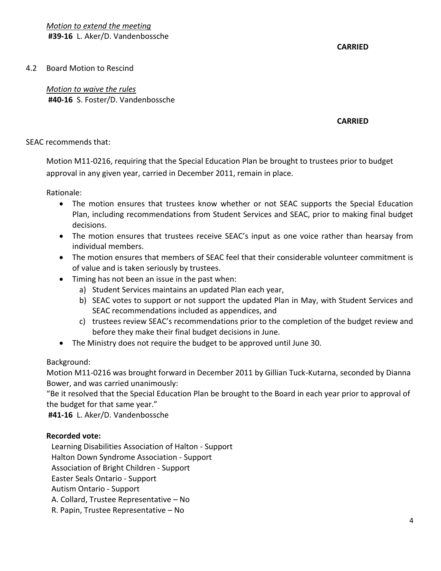**CARRIED**

4.2 Board Motion to Rescind

*Motion to waive the rules*  **#40-16** S. Foster/D. Vandenbossche

### **CARRIED**

### SEAC recommends that:

Motion M11-0216, requiring that the Special Education Plan be brought to trustees prior to budget approval in any given year, carried in December 2011, remain in place.

Rationale:

- The motion ensures that trustees know whether or not SEAC supports the Special Education Plan, including recommendations from Student Services and SEAC, prior to making final budget decisions.
- The motion ensures that trustees receive SEAC's input as one voice rather than hearsay from individual members.
- The motion ensures that members of SEAC feel that their considerable volunteer commitment is of value and is taken seriously by trustees.
- Timing has not been an issue in the past when:
	- a) Student Services maintains an updated Plan each year,
	- b) SEAC votes to support or not support the updated Plan in May, with Student Services and SEAC recommendations included as appendices, and
	- c) trustees review SEAC's recommendations prior to the completion of the budget review and before they make their final budget decisions in June.
- The Ministry does not require the budget to be approved until June 30.

## Background:

Motion M11-0216 was brought forward in December 2011 by Gillian Tuck-Kutarna, seconded by Dianna Bower, and was carried unanimously:

"Be it resolved that the Special Education Plan be brought to the Board in each year prior to approval of the budget for that same year."

**#41-16** L. Aker/D. Vandenbossche

## **Recorded vote:**

Learning Disabilities Association of Halton - Support

Halton Down Syndrome Association - Support

Association of Bright Children - Support

Easter Seals Ontario - Support

Autism Ontario - Support

A. Collard, Trustee Representative – No

R. Papin, Trustee Representative – No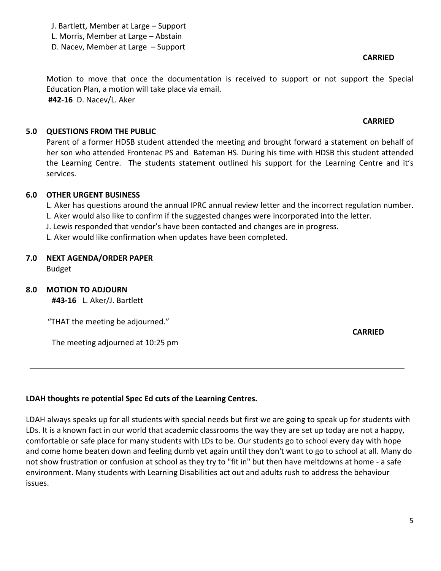J. Bartlett, Member at Large – Support L. Morris, Member at Large – Abstain D. Nacev, Member at Large – Support

**CARRIED**

**CARRIED**

Motion to move that once the documentation is received to support or not support the Special Education Plan, a motion will take place via email.  **#42-16** D. Nacev/L. Aker

### **5.0 QUESTIONS FROM THE PUBLIC**

Parent of a former HDSB student attended the meeting and brought forward a statement on behalf of her son who attended Frontenac PS and Bateman HS. During his time with HDSB this student attended the Learning Centre. The students statement outlined his support for the Learning Centre and it's services.

#### **6.0 OTHER URGENT BUSINESS**

L. Aker has questions around the annual IPRC annual review letter and the incorrect regulation number. L. Aker would also like to confirm if the suggested changes were incorporated into the letter.

- J. Lewis responded that vendor's have been contacted and changes are in progress.
- L. Aker would like confirmation when updates have been completed.

#### **7.0 NEXT AGENDA/ORDER PAPER**

Budget

#### **8.0 MOTION TO ADJOURN**

**#43-16** L. Aker/J. Bartlett

"THAT the meeting be adjourned."

The meeting adjourned at 10:25 pm

**CARRIED**

#### **LDAH thoughts re potential Spec Ed cuts of the Learning Centres.**

LDAH always speaks up for all students with special needs but first we are going to speak up for students with LDs. It is a known fact in our world that academic classrooms the way they are set up today are not a happy, comfortable or safe place for many students with LDs to be. Our students go to school every day with hope and come home beaten down and feeling dumb yet again until they don't want to go to school at all. Many do not show frustration or confusion at school as they try to "fit in" but then have meltdowns at home - a safe environment. Many students with Learning Disabilities act out and adults rush to address the behaviour issues.